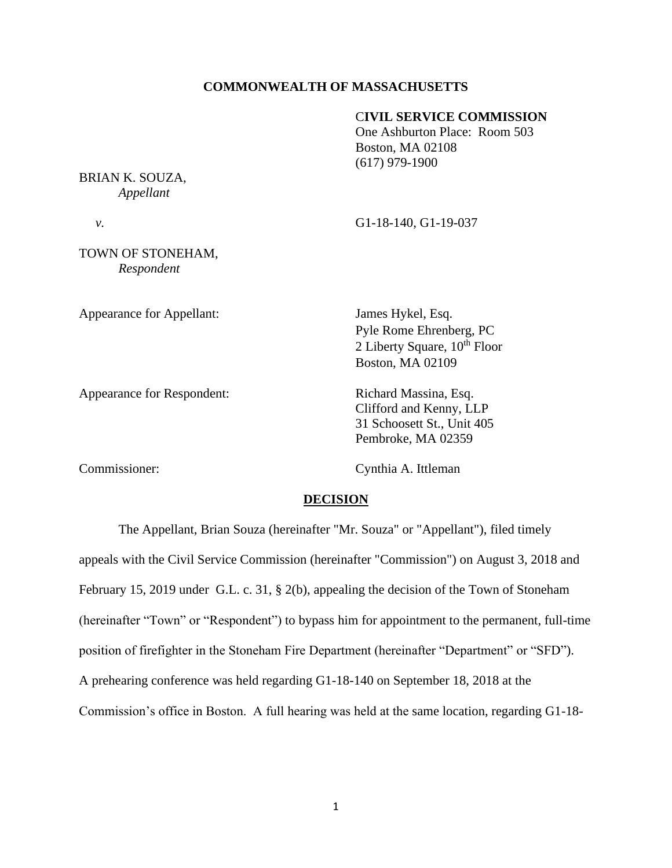# **COMMONWEALTH OF MASSACHUSETTS**

## C**IVIL SERVICE COMMISSION**

One Ashburton Place: Room 503 Boston, MA 02108 (617) 979-1900

BRIAN K. SOUZA, *Appellant*

 *v.* G1-18-140, G1-19-037

TOWN OF STONEHAM, *Respondent*

Appearance for Appellant: James Hykel, Esq.

Appearance for Respondent: Richard Massina, Esq.

Pyle Rome Ehrenberg, PC 2 Liberty Square, 10<sup>th</sup> Floor

Clifford and Kenny, LLP 31 Schoosett St., Unit 405 Pembroke, MA 02359

Commissioner: Cynthia A. Ittleman

Boston, MA 02109

# **DECISION**

The Appellant, Brian Souza (hereinafter "Mr. Souza" or "Appellant"), filed timely appeals with the Civil Service Commission (hereinafter "Commission") on August 3, 2018 and February 15, 2019 under G.L. c. 31, § 2(b), appealing the decision of the Town of Stoneham (hereinafter "Town" or "Respondent") to bypass him for appointment to the permanent, full-time position of firefighter in the Stoneham Fire Department (hereinafter "Department" or "SFD"). A prehearing conference was held regarding G1-18-140 on September 18, 2018 at the Commission's office in Boston. A full hearing was held at the same location, regarding G1-18-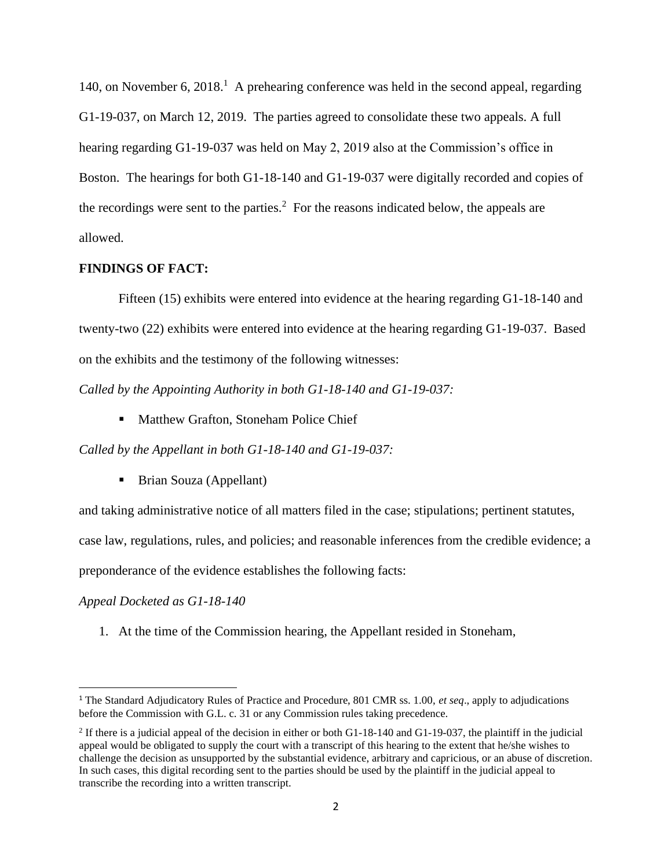140, on November 6, 2018.<sup>1</sup> A prehearing conference was held in the second appeal, regarding G1-19-037, on March 12, 2019. The parties agreed to consolidate these two appeals. A full hearing regarding G1-19-037 was held on May 2, 2019 also at the Commission's office in Boston. The hearings for both G1-18-140 and G1-19-037 were digitally recorded and copies of the recordings were sent to the parties.<sup>2</sup> For the reasons indicated below, the appeals are allowed.

# **FINDINGS OF FACT:**

Fifteen (15) exhibits were entered into evidence at the hearing regarding G1-18-140 and twenty-two (22) exhibits were entered into evidence at the hearing regarding G1-19-037. Based on the exhibits and the testimony of the following witnesses:

*Called by the Appointing Authority in both G1-18-140 and G1-19-037:*

■ Matthew Grafton, Stoneham Police Chief

*Called by the Appellant in both G1-18-140 and G1-19-037:*

■ Brian Souza (Appellant)

and taking administrative notice of all matters filed in the case; stipulations; pertinent statutes,

case law, regulations, rules, and policies; and reasonable inferences from the credible evidence; a

preponderance of the evidence establishes the following facts:

#### *Appeal Docketed as G1-18-140*

1. At the time of the Commission hearing, the Appellant resided in Stoneham,

<sup>1</sup> The Standard Adjudicatory Rules of Practice and Procedure, 801 CMR ss. 1.00, *et seq*., apply to adjudications before the Commission with G.L. c. 31 or any Commission rules taking precedence.

<sup>&</sup>lt;sup>2</sup> If there is a judicial appeal of the decision in either or both G1-18-140 and G1-19-037, the plaintiff in the judicial appeal would be obligated to supply the court with a transcript of this hearing to the extent that he/she wishes to challenge the decision as unsupported by the substantial evidence, arbitrary and capricious, or an abuse of discretion. In such cases, this digital recording sent to the parties should be used by the plaintiff in the judicial appeal to transcribe the recording into a written transcript.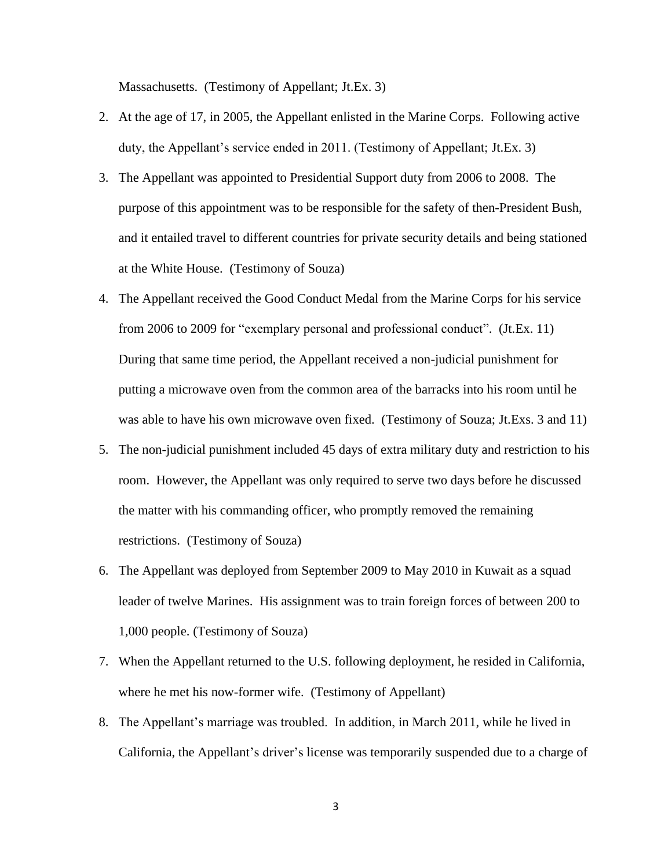Massachusetts. (Testimony of Appellant; Jt.Ex. 3)

- 2. At the age of 17, in 2005, the Appellant enlisted in the Marine Corps. Following active duty, the Appellant's service ended in 2011. (Testimony of Appellant; Jt.Ex. 3)
- 3. The Appellant was appointed to Presidential Support duty from 2006 to 2008. The purpose of this appointment was to be responsible for the safety of then-President Bush, and it entailed travel to different countries for private security details and being stationed at the White House. (Testimony of Souza)
- 4. The Appellant received the Good Conduct Medal from the Marine Corps for his service from 2006 to 2009 for "exemplary personal and professional conduct". (Jt.Ex. 11) During that same time period, the Appellant received a non-judicial punishment for putting a microwave oven from the common area of the barracks into his room until he was able to have his own microwave oven fixed. (Testimony of Souza; Jt.Exs. 3 and 11)
- 5. The non-judicial punishment included 45 days of extra military duty and restriction to his room. However, the Appellant was only required to serve two days before he discussed the matter with his commanding officer, who promptly removed the remaining restrictions. (Testimony of Souza)
- 6. The Appellant was deployed from September 2009 to May 2010 in Kuwait as a squad leader of twelve Marines. His assignment was to train foreign forces of between 200 to 1,000 people. (Testimony of Souza)
- 7. When the Appellant returned to the U.S. following deployment, he resided in California, where he met his now-former wife. (Testimony of Appellant)
- 8. The Appellant's marriage was troubled. In addition, in March 2011, while he lived in California, the Appellant's driver's license was temporarily suspended due to a charge of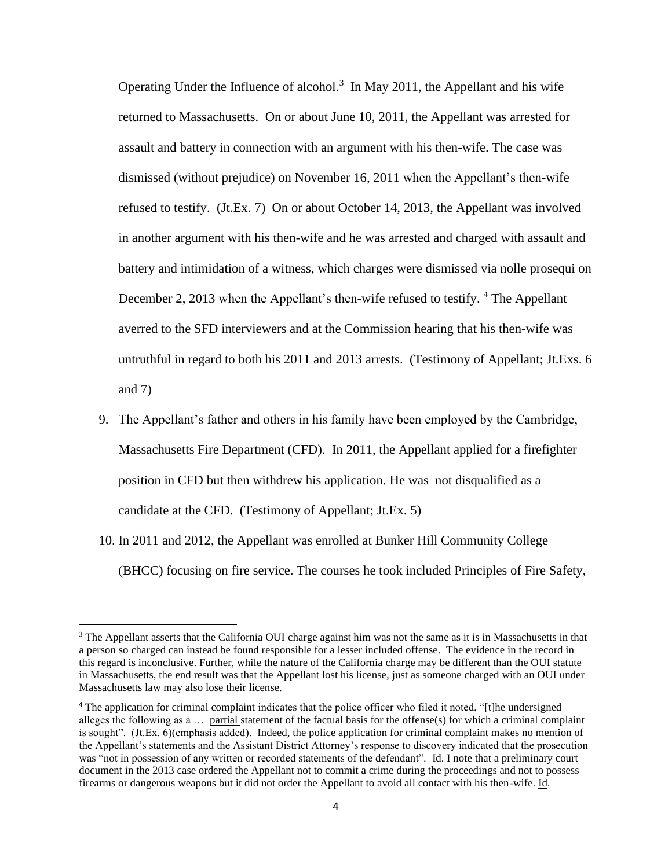Operating Under the Influence of alcohol.<sup>3</sup> In May 2011, the Appellant and his wife returned to Massachusetts. On or about June 10, 2011, the Appellant was arrested for assault and battery in connection with an argument with his then-wife. The case was dismissed (without prejudice) on November 16, 2011 when the Appellant's then-wife refused to testify. (Jt.Ex. 7) On or about October 14, 2013, the Appellant was involved in another argument with his then-wife and he was arrested and charged with assault and battery and intimidation of a witness, which charges were dismissed via nolle prosequi on December 2, 2013 when the Appellant's then-wife refused to testify. <sup>4</sup> The Appellant averred to the SFD interviewers and at the Commission hearing that his then-wife was untruthful in regard to both his 2011 and 2013 arrests. (Testimony of Appellant; Jt.Exs. 6 and 7)

- 9. The Appellant's father and others in his family have been employed by the Cambridge, Massachusetts Fire Department (CFD). In 2011, the Appellant applied for a firefighter position in CFD but then withdrew his application. He was not disqualified as a candidate at the CFD. (Testimony of Appellant; Jt.Ex. 5)
- 10. In 2011 and 2012, the Appellant was enrolled at Bunker Hill Community College (BHCC) focusing on fire service. The courses he took included Principles of Fire Safety,

<sup>&</sup>lt;sup>3</sup> The Appellant asserts that the California OUI charge against him was not the same as it is in Massachusetts in that a person so charged can instead be found responsible for a lesser included offense. The evidence in the record in this regard is inconclusive. Further, while the nature of the California charge may be different than the OUI statute in Massachusetts, the end result was that the Appellant lost his license, just as someone charged with an OUI under Massachusetts law may also lose their license.

<sup>4</sup> The application for criminal complaint indicates that the police officer who filed it noted, "[t]he undersigned alleges the following as a … partial statement of the factual basis for the offense(s) for which a criminal complaint is sought". (Jt.Ex. 6)(emphasis added). Indeed, the police application for criminal complaint makes no mention of the Appellant's statements and the Assistant District Attorney's response to discovery indicated that the prosecution was "not in possession of any written or recorded statements of the defendant". Id. I note that a preliminary court document in the 2013 case ordered the Appellant not to commit a crime during the proceedings and not to possess firearms or dangerous weapons but it did not order the Appellant to avoid all contact with his then-wife. Id.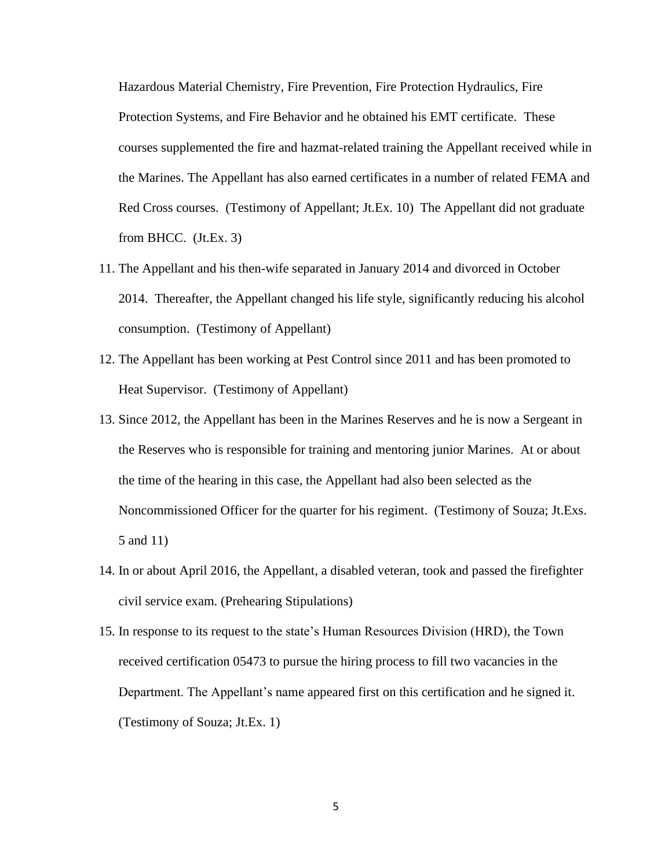Hazardous Material Chemistry, Fire Prevention, Fire Protection Hydraulics, Fire Protection Systems, and Fire Behavior and he obtained his EMT certificate. These courses supplemented the fire and hazmat-related training the Appellant received while in the Marines. The Appellant has also earned certificates in a number of related FEMA and Red Cross courses. (Testimony of Appellant; Jt.Ex. 10) The Appellant did not graduate from BHCC. (Jt.Ex. 3)

- 11. The Appellant and his then-wife separated in January 2014 and divorced in October 2014. Thereafter, the Appellant changed his life style, significantly reducing his alcohol consumption. (Testimony of Appellant)
- 12. The Appellant has been working at Pest Control since 2011 and has been promoted to Heat Supervisor. (Testimony of Appellant)
- 13. Since 2012, the Appellant has been in the Marines Reserves and he is now a Sergeant in the Reserves who is responsible for training and mentoring junior Marines. At or about the time of the hearing in this case, the Appellant had also been selected as the Noncommissioned Officer for the quarter for his regiment. (Testimony of Souza; Jt.Exs. 5 and 11)
- 14. In or about April 2016, the Appellant, a disabled veteran, took and passed the firefighter civil service exam. (Prehearing Stipulations)
- 15. In response to its request to the state's Human Resources Division (HRD), the Town received certification 05473 to pursue the hiring process to fill two vacancies in the Department. The Appellant's name appeared first on this certification and he signed it. (Testimony of Souza; Jt.Ex. 1)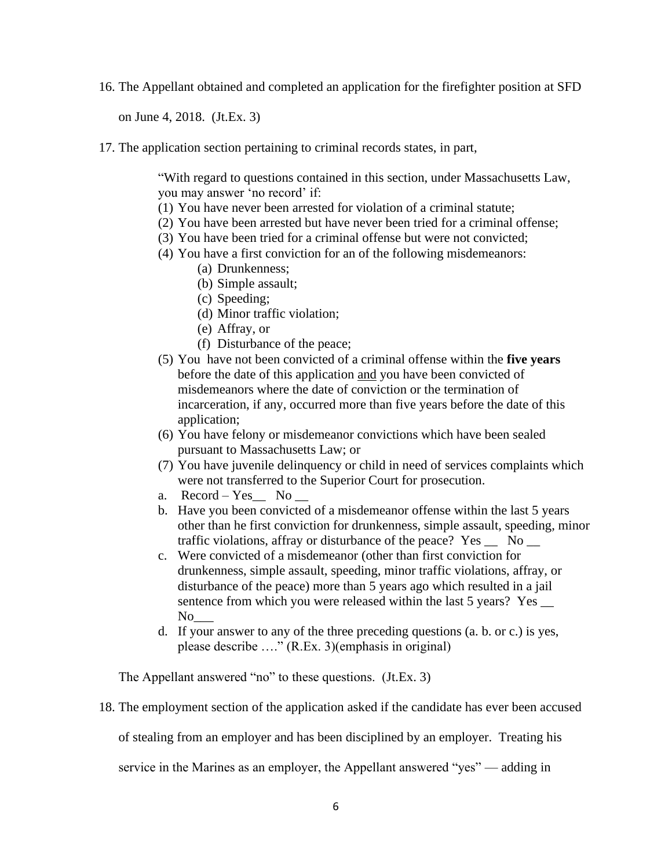16. The Appellant obtained and completed an application for the firefighter position at SFD

on June 4, 2018. (Jt.Ex. 3)

17. The application section pertaining to criminal records states, in part,

"With regard to questions contained in this section, under Massachusetts Law, you may answer 'no record' if:

- (1) You have never been arrested for violation of a criminal statute;
- (2) You have been arrested but have never been tried for a criminal offense;
- (3) You have been tried for a criminal offense but were not convicted;
- (4) You have a first conviction for an of the following misdemeanors:
	- (a) Drunkenness;
	- (b) Simple assault;
	- (c) Speeding;
	- (d) Minor traffic violation;
	- (e) Affray, or
	- (f) Disturbance of the peace;
- (5) You have not been convicted of a criminal offense within the **five years** before the date of this application and you have been convicted of misdemeanors where the date of conviction or the termination of incarceration, if any, occurred more than five years before the date of this application;
- (6) You have felony or misdemeanor convictions which have been sealed pursuant to Massachusetts Law; or
- (7) You have juvenile delinquency or child in need of services complaints which were not transferred to the Superior Court for prosecution.
- a. Record Yes No
- b. Have you been convicted of a misdemeanor offense within the last 5 years other than he first conviction for drunkenness, simple assault, speeding, minor traffic violations, affray or disturbance of the peace? Yes \_\_ No \_\_
- c. Were convicted of a misdemeanor (other than first conviction for drunkenness, simple assault, speeding, minor traffic violations, affray, or disturbance of the peace) more than 5 years ago which resulted in a jail sentence from which you were released within the last 5 years? Yes  $\_\_$  $No$
- d. If your answer to any of the three preceding questions (a. b. or c.) is yes, please describe …." (R.Ex. 3)(emphasis in original)

The Appellant answered "no" to these questions. (Jt.Ex. 3)

18. The employment section of the application asked if the candidate has ever been accused

of stealing from an employer and has been disciplined by an employer. Treating his

service in the Marines as an employer, the Appellant answered "yes" — adding in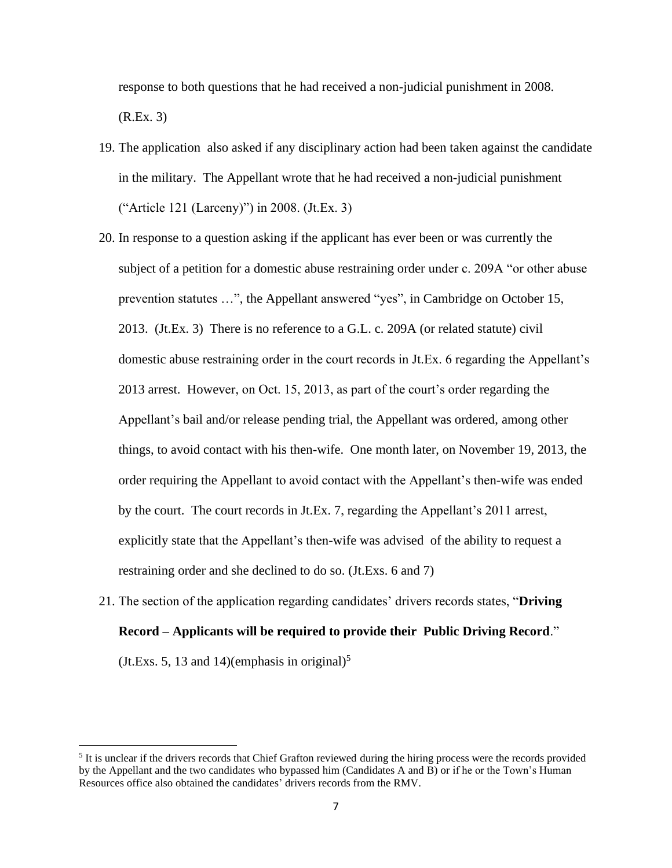response to both questions that he had received a non-judicial punishment in 2008. (R.Ex. 3)

- 19. The application also asked if any disciplinary action had been taken against the candidate in the military. The Appellant wrote that he had received a non-judicial punishment ("Article 121 (Larceny)") in 2008. (Jt.Ex. 3)
- 20. In response to a question asking if the applicant has ever been or was currently the subject of a petition for a domestic abuse restraining order under c. 209A "or other abuse prevention statutes …", the Appellant answered "yes", in Cambridge on October 15, 2013. (Jt.Ex. 3) There is no reference to a G.L. c. 209A (or related statute) civil domestic abuse restraining order in the court records in Jt.Ex. 6 regarding the Appellant's 2013 arrest. However, on Oct. 15, 2013, as part of the court's order regarding the Appellant's bail and/or release pending trial, the Appellant was ordered, among other things, to avoid contact with his then-wife. One month later, on November 19, 2013, the order requiring the Appellant to avoid contact with the Appellant's then-wife was ended by the court. The court records in Jt.Ex. 7, regarding the Appellant's 2011 arrest, explicitly state that the Appellant's then-wife was advised of the ability to request a restraining order and she declined to do so. (Jt.Exs. 6 and 7)
- 21. The section of the application regarding candidates' drivers records states, "**Driving Record – Applicants will be required to provide their Public Driving Record**."

 $(Jt.Exs. 5, 13 and 14)$ (emphasis in original)<sup>5</sup>

<sup>&</sup>lt;sup>5</sup> It is unclear if the drivers records that Chief Grafton reviewed during the hiring process were the records provided by the Appellant and the two candidates who bypassed him (Candidates A and B) or if he or the Town's Human Resources office also obtained the candidates' drivers records from the RMV.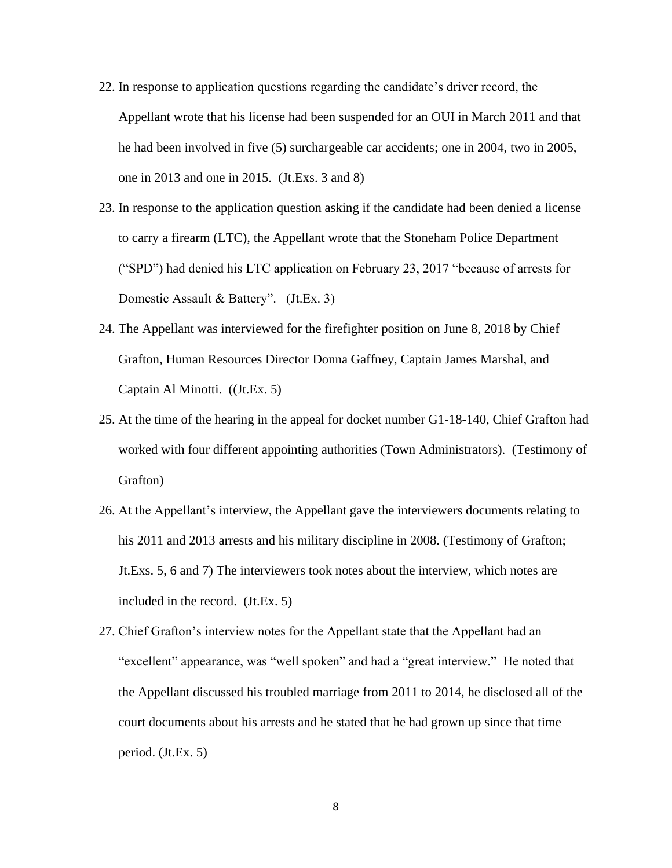- 22. In response to application questions regarding the candidate's driver record, the Appellant wrote that his license had been suspended for an OUI in March 2011 and that he had been involved in five (5) surchargeable car accidents; one in 2004, two in 2005, one in 2013 and one in 2015. (Jt.Exs. 3 and 8)
- 23. In response to the application question asking if the candidate had been denied a license to carry a firearm (LTC), the Appellant wrote that the Stoneham Police Department ("SPD") had denied his LTC application on February 23, 2017 "because of arrests for Domestic Assault & Battery". (Jt.Ex. 3)
- 24. The Appellant was interviewed for the firefighter position on June 8, 2018 by Chief Grafton, Human Resources Director Donna Gaffney, Captain James Marshal, and Captain Al Minotti. ((Jt.Ex. 5)
- 25. At the time of the hearing in the appeal for docket number G1-18-140, Chief Grafton had worked with four different appointing authorities (Town Administrators). (Testimony of Grafton)
- 26. At the Appellant's interview, the Appellant gave the interviewers documents relating to his 2011 and 2013 arrests and his military discipline in 2008. (Testimony of Grafton; Jt.Exs. 5, 6 and 7) The interviewers took notes about the interview, which notes are included in the record. (Jt.Ex. 5)
- 27. Chief Grafton's interview notes for the Appellant state that the Appellant had an "excellent" appearance, was "well spoken" and had a "great interview." He noted that the Appellant discussed his troubled marriage from 2011 to 2014, he disclosed all of the court documents about his arrests and he stated that he had grown up since that time period. (Jt.Ex. 5)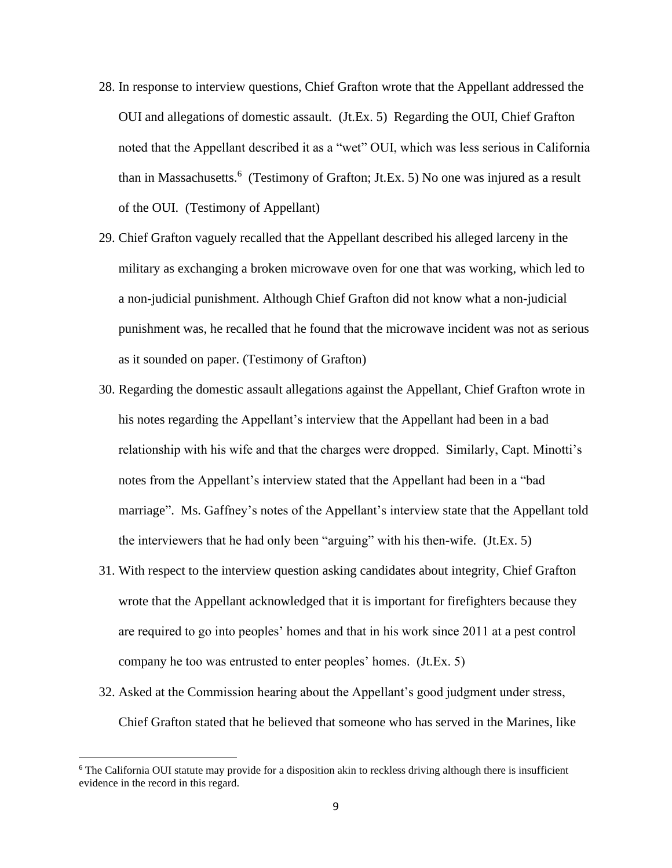- 28. In response to interview questions, Chief Grafton wrote that the Appellant addressed the OUI and allegations of domestic assault. (Jt.Ex. 5) Regarding the OUI, Chief Grafton noted that the Appellant described it as a "wet" OUI, which was less serious in California than in Massachusetts.<sup>6</sup> (Testimony of Grafton; Jt.Ex. 5) No one was injured as a result of the OUI. (Testimony of Appellant)
- 29. Chief Grafton vaguely recalled that the Appellant described his alleged larceny in the military as exchanging a broken microwave oven for one that was working, which led to a non-judicial punishment. Although Chief Grafton did not know what a non-judicial punishment was, he recalled that he found that the microwave incident was not as serious as it sounded on paper. (Testimony of Grafton)
- 30. Regarding the domestic assault allegations against the Appellant, Chief Grafton wrote in his notes regarding the Appellant's interview that the Appellant had been in a bad relationship with his wife and that the charges were dropped. Similarly, Capt. Minotti's notes from the Appellant's interview stated that the Appellant had been in a "bad marriage". Ms. Gaffney's notes of the Appellant's interview state that the Appellant told the interviewers that he had only been "arguing" with his then-wife. (Jt.Ex. 5)
- 31. With respect to the interview question asking candidates about integrity, Chief Grafton wrote that the Appellant acknowledged that it is important for firefighters because they are required to go into peoples' homes and that in his work since 2011 at a pest control company he too was entrusted to enter peoples' homes. (Jt.Ex. 5)
- 32. Asked at the Commission hearing about the Appellant's good judgment under stress, Chief Grafton stated that he believed that someone who has served in the Marines, like

<sup>&</sup>lt;sup>6</sup> The California OUI statute may provide for a disposition akin to reckless driving although there is insufficient evidence in the record in this regard.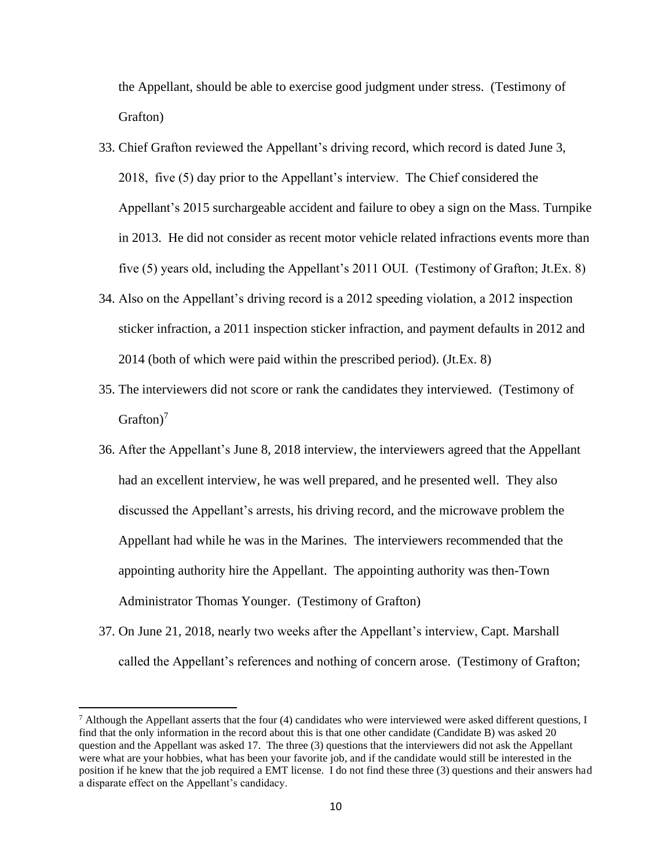the Appellant, should be able to exercise good judgment under stress. (Testimony of Grafton)

- 33. Chief Grafton reviewed the Appellant's driving record, which record is dated June 3, 2018, five (5) day prior to the Appellant's interview. The Chief considered the Appellant's 2015 surchargeable accident and failure to obey a sign on the Mass. Turnpike in 2013. He did not consider as recent motor vehicle related infractions events more than five (5) years old, including the Appellant's 2011 OUI. (Testimony of Grafton; Jt.Ex. 8)
- 34. Also on the Appellant's driving record is a 2012 speeding violation, a 2012 inspection sticker infraction, a 2011 inspection sticker infraction, and payment defaults in 2012 and 2014 (both of which were paid within the prescribed period). (Jt.Ex. 8)
- 35. The interviewers did not score or rank the candidates they interviewed. (Testimony of Grafton)<sup>7</sup>
- 36. After the Appellant's June 8, 2018 interview, the interviewers agreed that the Appellant had an excellent interview, he was well prepared, and he presented well. They also discussed the Appellant's arrests, his driving record, and the microwave problem the Appellant had while he was in the Marines. The interviewers recommended that the appointing authority hire the Appellant. The appointing authority was then-Town Administrator Thomas Younger. (Testimony of Grafton)
- 37. On June 21, 2018, nearly two weeks after the Appellant's interview, Capt. Marshall called the Appellant's references and nothing of concern arose. (Testimony of Grafton;

<sup>&</sup>lt;sup>7</sup> Although the Appellant asserts that the four (4) candidates who were interviewed were asked different questions, I find that the only information in the record about this is that one other candidate (Candidate B) was asked 20 question and the Appellant was asked 17. The three (3) questions that the interviewers did not ask the Appellant were what are your hobbies, what has been your favorite job, and if the candidate would still be interested in the position if he knew that the job required a EMT license. I do not find these three (3) questions and their answers had a disparate effect on the Appellant's candidacy.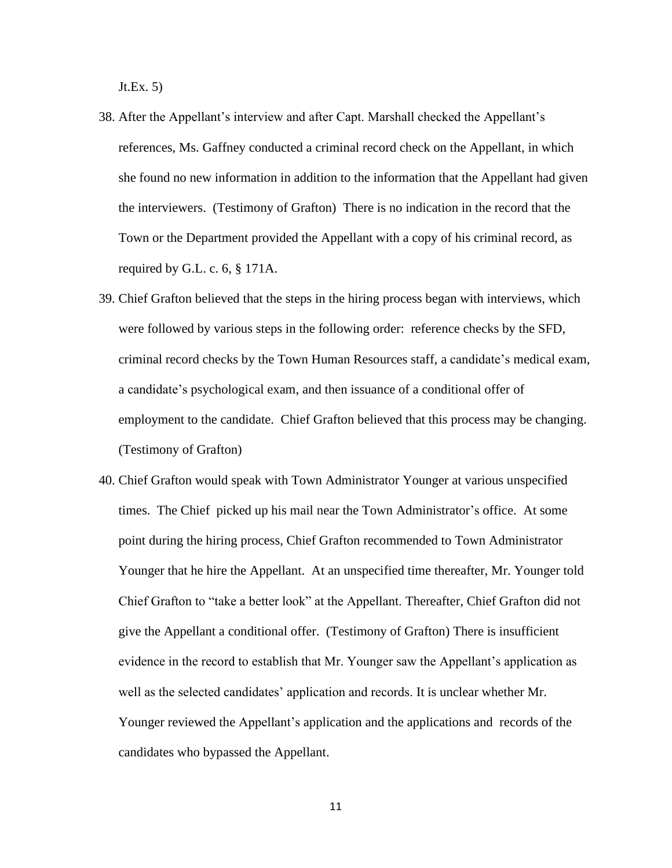Jt.Ex. 5)

- 38. After the Appellant's interview and after Capt. Marshall checked the Appellant's references, Ms. Gaffney conducted a criminal record check on the Appellant, in which she found no new information in addition to the information that the Appellant had given the interviewers. (Testimony of Grafton) There is no indication in the record that the Town or the Department provided the Appellant with a copy of his criminal record, as required by G.L. c. 6, § 171A.
- 39. Chief Grafton believed that the steps in the hiring process began with interviews, which were followed by various steps in the following order: reference checks by the SFD, criminal record checks by the Town Human Resources staff, a candidate's medical exam, a candidate's psychological exam, and then issuance of a conditional offer of employment to the candidate. Chief Grafton believed that this process may be changing. (Testimony of Grafton)
- 40. Chief Grafton would speak with Town Administrator Younger at various unspecified times. The Chief picked up his mail near the Town Administrator's office. At some point during the hiring process, Chief Grafton recommended to Town Administrator Younger that he hire the Appellant. At an unspecified time thereafter, Mr. Younger told Chief Grafton to "take a better look" at the Appellant. Thereafter, Chief Grafton did not give the Appellant a conditional offer. (Testimony of Grafton) There is insufficient evidence in the record to establish that Mr. Younger saw the Appellant's application as well as the selected candidates' application and records. It is unclear whether Mr. Younger reviewed the Appellant's application and the applications and records of the candidates who bypassed the Appellant.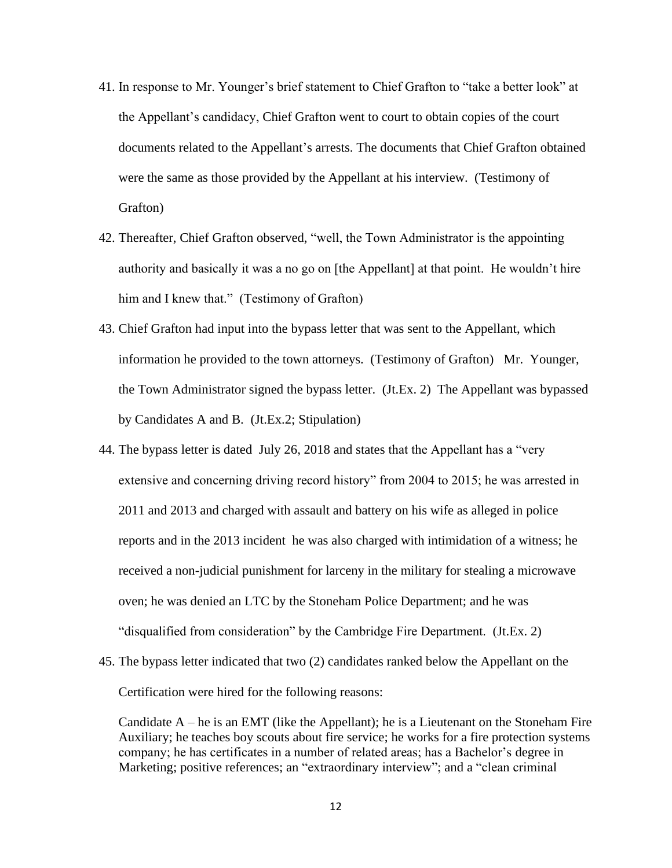- 41. In response to Mr. Younger's brief statement to Chief Grafton to "take a better look" at the Appellant's candidacy, Chief Grafton went to court to obtain copies of the court documents related to the Appellant's arrests. The documents that Chief Grafton obtained were the same as those provided by the Appellant at his interview. (Testimony of Grafton)
- 42. Thereafter, Chief Grafton observed, "well, the Town Administrator is the appointing authority and basically it was a no go on [the Appellant] at that point. He wouldn't hire him and I knew that." (Testimony of Grafton)
- 43. Chief Grafton had input into the bypass letter that was sent to the Appellant, which information he provided to the town attorneys. (Testimony of Grafton) Mr. Younger, the Town Administrator signed the bypass letter. (Jt.Ex. 2) The Appellant was bypassed by Candidates A and B. (Jt.Ex.2; Stipulation)
- 44. The bypass letter is dated July 26, 2018 and states that the Appellant has a "very extensive and concerning driving record history" from 2004 to 2015; he was arrested in 2011 and 2013 and charged with assault and battery on his wife as alleged in police reports and in the 2013 incident he was also charged with intimidation of a witness; he received a non-judicial punishment for larceny in the military for stealing a microwave oven; he was denied an LTC by the Stoneham Police Department; and he was "disqualified from consideration" by the Cambridge Fire Department. (Jt.Ex. 2)
- 45. The bypass letter indicated that two (2) candidates ranked below the Appellant on the Certification were hired for the following reasons:

Candidate  $A$  – he is an EMT (like the Appellant); he is a Lieutenant on the Stoneham Fire Auxiliary; he teaches boy scouts about fire service; he works for a fire protection systems company; he has certificates in a number of related areas; has a Bachelor's degree in Marketing; positive references; an "extraordinary interview"; and a "clean criminal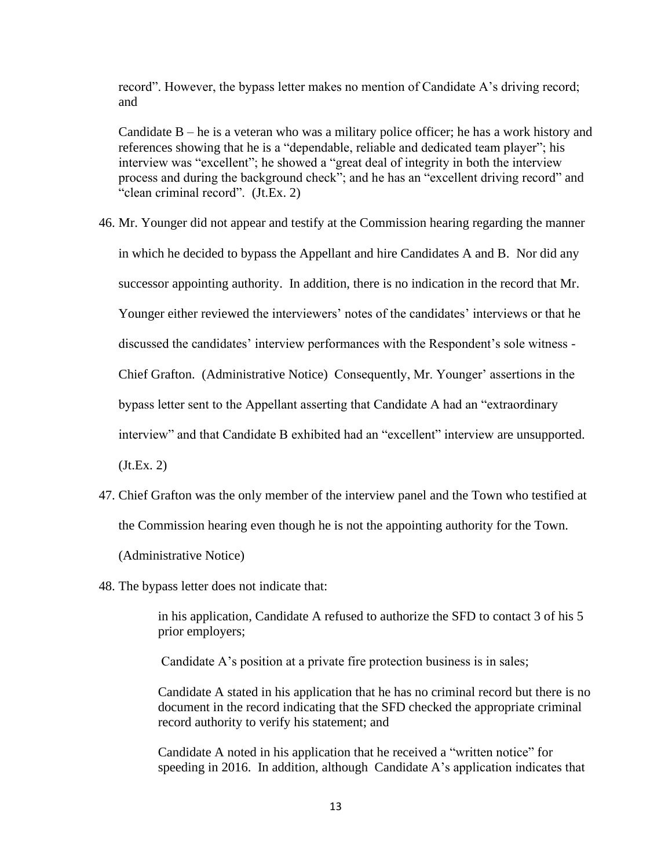record". However, the bypass letter makes no mention of Candidate A's driving record; and

Candidate  $B$  – he is a veteran who was a military police officer; he has a work history and references showing that he is a "dependable, reliable and dedicated team player"; his interview was "excellent"; he showed a "great deal of integrity in both the interview process and during the background check"; and he has an "excellent driving record" and "clean criminal record". (Jt.Ex. 2)

- 46. Mr. Younger did not appear and testify at the Commission hearing regarding the manner in which he decided to bypass the Appellant and hire Candidates A and B. Nor did any successor appointing authority. In addition, there is no indication in the record that Mr. Younger either reviewed the interviewers' notes of the candidates' interviews or that he discussed the candidates' interview performances with the Respondent's sole witness - Chief Grafton. (Administrative Notice) Consequently, Mr. Younger' assertions in the bypass letter sent to the Appellant asserting that Candidate A had an "extraordinary interview" and that Candidate B exhibited had an "excellent" interview are unsupported.  $(Jt.Ex. 2)$
- 47. Chief Grafton was the only member of the interview panel and the Town who testified at the Commission hearing even though he is not the appointing authority for the Town.

(Administrative Notice)

48. The bypass letter does not indicate that:

in his application, Candidate A refused to authorize the SFD to contact 3 of his 5 prior employers;

Candidate A's position at a private fire protection business is in sales;

Candidate A stated in his application that he has no criminal record but there is no document in the record indicating that the SFD checked the appropriate criminal record authority to verify his statement; and

Candidate A noted in his application that he received a "written notice" for speeding in 2016. In addition, although Candidate A's application indicates that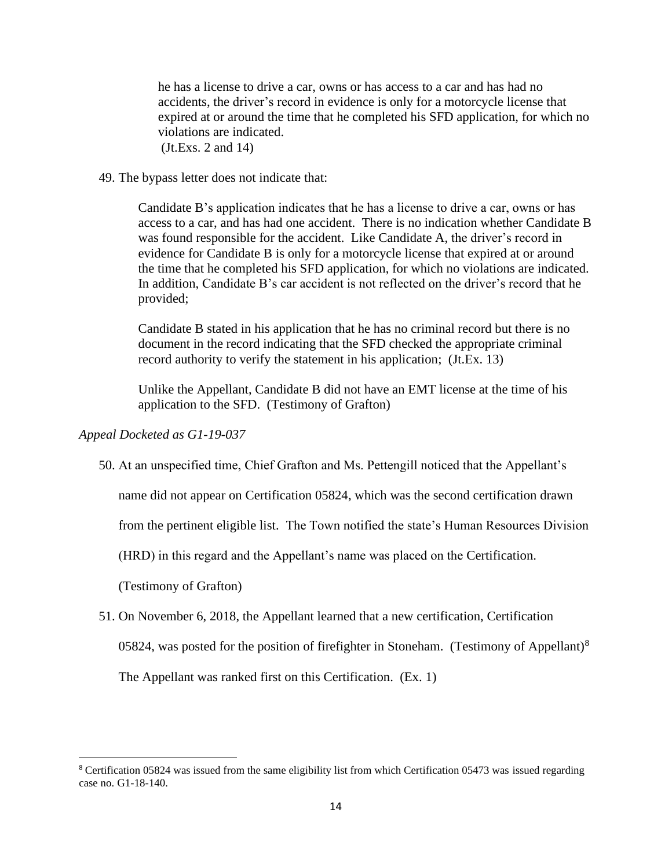he has a license to drive a car, owns or has access to a car and has had no accidents, the driver's record in evidence is only for a motorcycle license that expired at or around the time that he completed his SFD application, for which no violations are indicated. (Jt.Exs. 2 and 14)

## 49. The bypass letter does not indicate that:

Candidate B's application indicates that he has a license to drive a car, owns or has access to a car, and has had one accident. There is no indication whether Candidate B was found responsible for the accident. Like Candidate A, the driver's record in evidence for Candidate B is only for a motorcycle license that expired at or around the time that he completed his SFD application, for which no violations are indicated. In addition, Candidate B's car accident is not reflected on the driver's record that he provided;

Candidate B stated in his application that he has no criminal record but there is no document in the record indicating that the SFD checked the appropriate criminal record authority to verify the statement in his application; (Jt.Ex. 13)

Unlike the Appellant, Candidate B did not have an EMT license at the time of his application to the SFD. (Testimony of Grafton)

# *Appeal Docketed as G1-19-037*

50. At an unspecified time, Chief Grafton and Ms. Pettengill noticed that the Appellant's

name did not appear on Certification 05824, which was the second certification drawn

from the pertinent eligible list. The Town notified the state's Human Resources Division

(HRD) in this regard and the Appellant's name was placed on the Certification.

(Testimony of Grafton)

51. On November 6, 2018, the Appellant learned that a new certification, Certification 05824, was posted for the position of firefighter in Stoneham. (Testimony of Appellant)<sup>8</sup>

The Appellant was ranked first on this Certification. (Ex. 1)

<sup>8</sup> Certification 05824 was issued from the same eligibility list from which Certification 05473 was issued regarding case no. G1-18-140.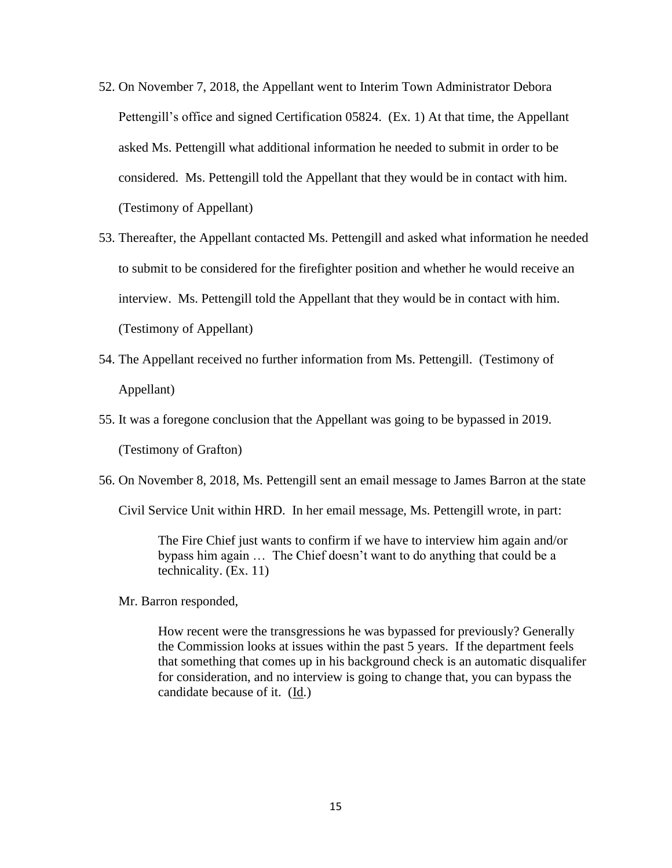- 52. On November 7, 2018, the Appellant went to Interim Town Administrator Debora Pettengill's office and signed Certification 05824. (Ex. 1) At that time, the Appellant asked Ms. Pettengill what additional information he needed to submit in order to be considered. Ms. Pettengill told the Appellant that they would be in contact with him. (Testimony of Appellant)
- 53. Thereafter, the Appellant contacted Ms. Pettengill and asked what information he needed to submit to be considered for the firefighter position and whether he would receive an interview. Ms. Pettengill told the Appellant that they would be in contact with him. (Testimony of Appellant)
- 54. The Appellant received no further information from Ms. Pettengill. (Testimony of Appellant)
- 55. It was a foregone conclusion that the Appellant was going to be bypassed in 2019.

(Testimony of Grafton)

56. On November 8, 2018, Ms. Pettengill sent an email message to James Barron at the state

Civil Service Unit within HRD. In her email message, Ms. Pettengill wrote, in part:

The Fire Chief just wants to confirm if we have to interview him again and/or bypass him again … The Chief doesn't want to do anything that could be a technicality. (Ex. 11)

Mr. Barron responded,

How recent were the transgressions he was bypassed for previously? Generally the Commission looks at issues within the past 5 years. If the department feels that something that comes up in his background check is an automatic disqualifer for consideration, and no interview is going to change that, you can bypass the candidate because of it. (Id.)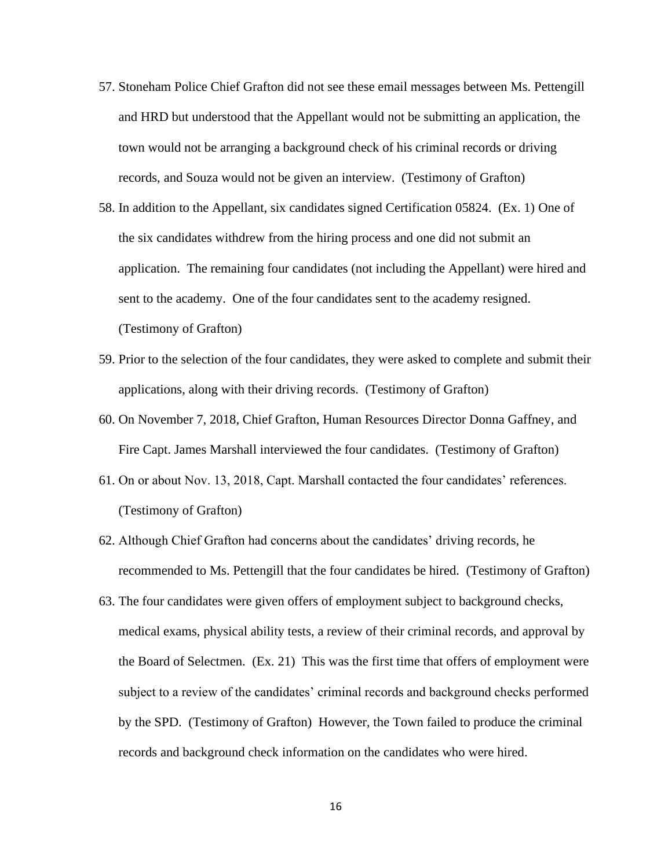- 57. Stoneham Police Chief Grafton did not see these email messages between Ms. Pettengill and HRD but understood that the Appellant would not be submitting an application, the town would not be arranging a background check of his criminal records or driving records, and Souza would not be given an interview. (Testimony of Grafton)
- 58. In addition to the Appellant, six candidates signed Certification 05824. (Ex. 1) One of the six candidates withdrew from the hiring process and one did not submit an application. The remaining four candidates (not including the Appellant) were hired and sent to the academy. One of the four candidates sent to the academy resigned. (Testimony of Grafton)
- 59. Prior to the selection of the four candidates, they were asked to complete and submit their applications, along with their driving records. (Testimony of Grafton)
- 60. On November 7, 2018, Chief Grafton, Human Resources Director Donna Gaffney, and Fire Capt. James Marshall interviewed the four candidates. (Testimony of Grafton)
- 61. On or about Nov. 13, 2018, Capt. Marshall contacted the four candidates' references. (Testimony of Grafton)
- 62. Although Chief Grafton had concerns about the candidates' driving records, he recommended to Ms. Pettengill that the four candidates be hired. (Testimony of Grafton)
- 63. The four candidates were given offers of employment subject to background checks, medical exams, physical ability tests, a review of their criminal records, and approval by the Board of Selectmen. (Ex. 21) This was the first time that offers of employment were subject to a review of the candidates' criminal records and background checks performed by the SPD. (Testimony of Grafton) However, the Town failed to produce the criminal records and background check information on the candidates who were hired.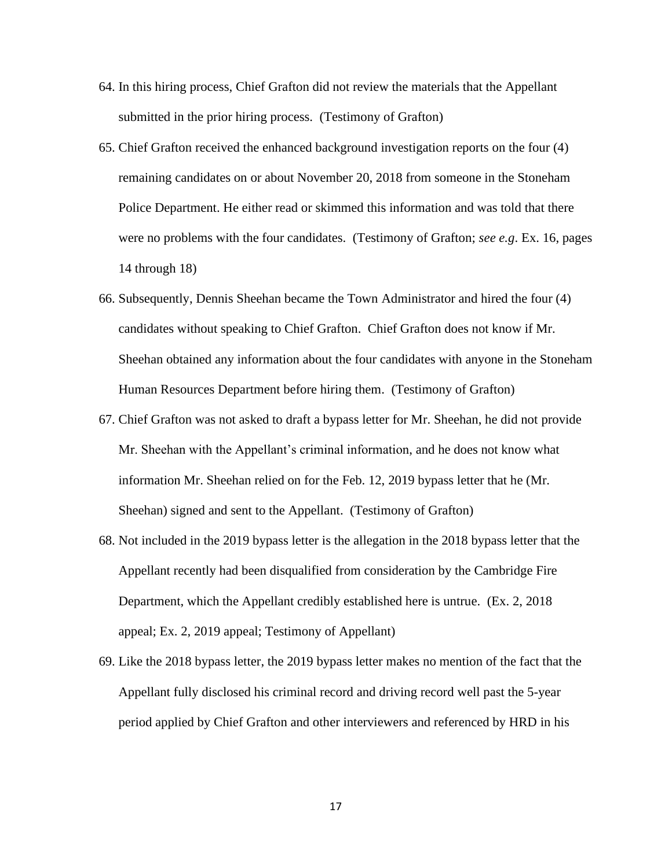- 64. In this hiring process, Chief Grafton did not review the materials that the Appellant submitted in the prior hiring process. (Testimony of Grafton)
- 65. Chief Grafton received the enhanced background investigation reports on the four (4) remaining candidates on or about November 20, 2018 from someone in the Stoneham Police Department. He either read or skimmed this information and was told that there were no problems with the four candidates. (Testimony of Grafton; *see e.g*. Ex. 16, pages 14 through 18)
- 66. Subsequently, Dennis Sheehan became the Town Administrator and hired the four (4) candidates without speaking to Chief Grafton. Chief Grafton does not know if Mr. Sheehan obtained any information about the four candidates with anyone in the Stoneham Human Resources Department before hiring them. (Testimony of Grafton)
- 67. Chief Grafton was not asked to draft a bypass letter for Mr. Sheehan, he did not provide Mr. Sheehan with the Appellant's criminal information, and he does not know what information Mr. Sheehan relied on for the Feb. 12, 2019 bypass letter that he (Mr. Sheehan) signed and sent to the Appellant. (Testimony of Grafton)
- 68. Not included in the 2019 bypass letter is the allegation in the 2018 bypass letter that the Appellant recently had been disqualified from consideration by the Cambridge Fire Department, which the Appellant credibly established here is untrue. (Ex. 2, 2018 appeal; Ex. 2, 2019 appeal; Testimony of Appellant)
- 69. Like the 2018 bypass letter, the 2019 bypass letter makes no mention of the fact that the Appellant fully disclosed his criminal record and driving record well past the 5-year period applied by Chief Grafton and other interviewers and referenced by HRD in his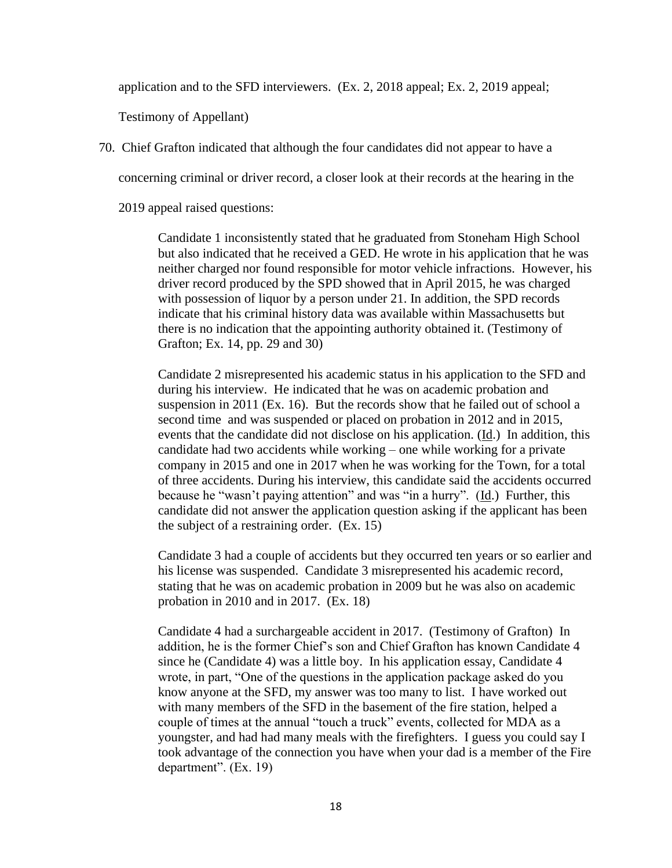application and to the SFD interviewers. (Ex. 2, 2018 appeal; Ex. 2, 2019 appeal;

Testimony of Appellant)

70. Chief Grafton indicated that although the four candidates did not appear to have a

concerning criminal or driver record, a closer look at their records at the hearing in the

2019 appeal raised questions:

Candidate 1 inconsistently stated that he graduated from Stoneham High School but also indicated that he received a GED. He wrote in his application that he was neither charged nor found responsible for motor vehicle infractions. However, his driver record produced by the SPD showed that in April 2015, he was charged with possession of liquor by a person under 21. In addition, the SPD records indicate that his criminal history data was available within Massachusetts but there is no indication that the appointing authority obtained it. (Testimony of Grafton; Ex. 14, pp. 29 and 30)

Candidate 2 misrepresented his academic status in his application to the SFD and during his interview. He indicated that he was on academic probation and suspension in 2011 (Ex. 16). But the records show that he failed out of school a second time and was suspended or placed on probation in 2012 and in 2015, events that the candidate did not disclose on his application. (Id.) In addition, this candidate had two accidents while working – one while working for a private company in 2015 and one in 2017 when he was working for the Town, for a total of three accidents. During his interview, this candidate said the accidents occurred because he "wasn't paying attention" and was "in a hurry". (Id.) Further, this candidate did not answer the application question asking if the applicant has been the subject of a restraining order. (Ex. 15)

Candidate 3 had a couple of accidents but they occurred ten years or so earlier and his license was suspended. Candidate 3 misrepresented his academic record, stating that he was on academic probation in 2009 but he was also on academic probation in 2010 and in 2017. (Ex. 18)

Candidate 4 had a surchargeable accident in 2017. (Testimony of Grafton) In addition, he is the former Chief's son and Chief Grafton has known Candidate 4 since he (Candidate 4) was a little boy. In his application essay, Candidate 4 wrote, in part, "One of the questions in the application package asked do you know anyone at the SFD, my answer was too many to list. I have worked out with many members of the SFD in the basement of the fire station, helped a couple of times at the annual "touch a truck" events, collected for MDA as a youngster, and had had many meals with the firefighters. I guess you could say I took advantage of the connection you have when your dad is a member of the Fire department". (Ex. 19)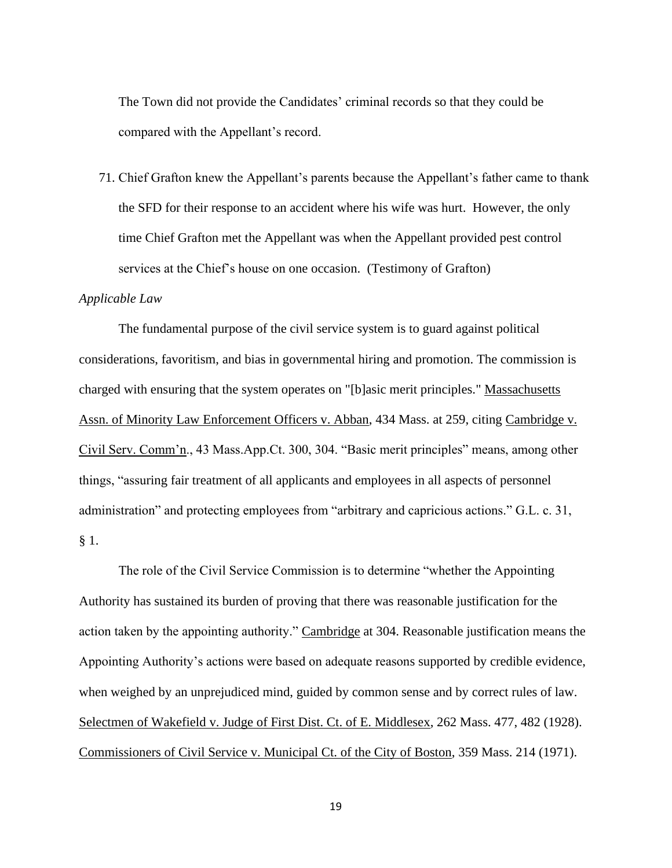The Town did not provide the Candidates' criminal records so that they could be compared with the Appellant's record.

71. Chief Grafton knew the Appellant's parents because the Appellant's father came to thank the SFD for their response to an accident where his wife was hurt. However, the only time Chief Grafton met the Appellant was when the Appellant provided pest control services at the Chief's house on one occasion. (Testimony of Grafton)

#### *Applicable Law*

The fundamental purpose of the civil service system is to guard against political considerations, favoritism, and bias in governmental hiring and promotion. The commission is charged with ensuring that the system operates on "[b]asic merit principles." Massachusetts Assn. of Minority Law Enforcement Officers v. Abban, 434 Mass. at 259, citing Cambridge v. Civil Serv. Comm'n., 43 Mass.App.Ct. 300, 304. "Basic merit principles" means, among other things, "assuring fair treatment of all applicants and employees in all aspects of personnel administration" and protecting employees from "arbitrary and capricious actions." G.L. c. 31, § 1.

The role of the Civil Service Commission is to determine "whether the Appointing Authority has sustained its burden of proving that there was reasonable justification for the action taken by the appointing authority." Cambridge at 304. Reasonable justification means the Appointing Authority's actions were based on adequate reasons supported by credible evidence, when weighed by an unprejudiced mind, guided by common sense and by correct rules of law. Selectmen of Wakefield v. Judge of First Dist. Ct. of E. Middlesex, 262 Mass. 477, 482 (1928). Commissioners of Civil Service v. Municipal Ct. of the City of Boston, 359 Mass. 214 (1971).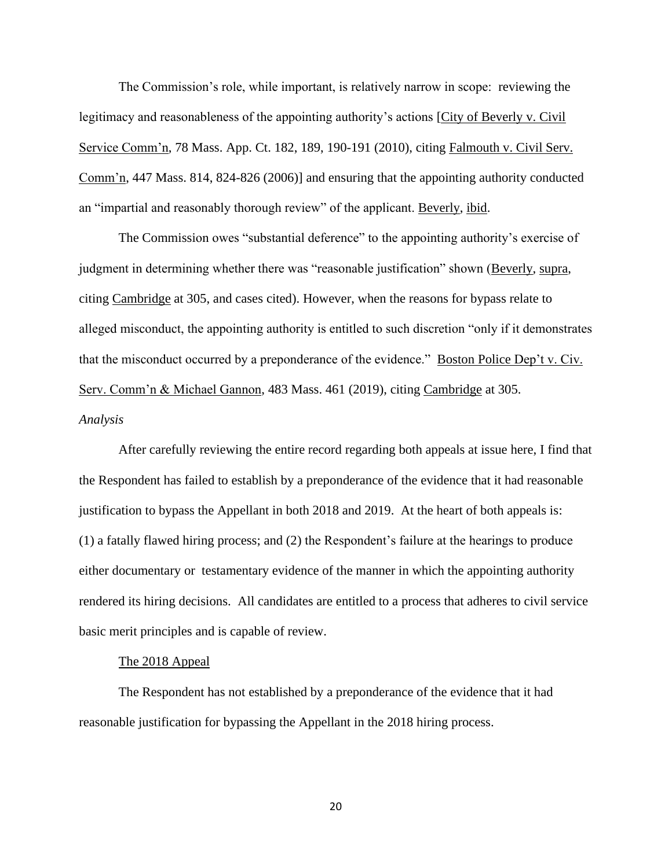The Commission's role, while important, is relatively narrow in scope: reviewing the legitimacy and reasonableness of the appointing authority's actions [City of Beverly v. Civil Service Comm'n, 78 Mass. App. Ct. 182, 189, 190-191 (2010), citing Falmouth v. Civil Serv. Comm'n, 447 Mass. 814, 824-826 (2006)] and ensuring that the appointing authority conducted an "impartial and reasonably thorough review" of the applicant. Beverly, ibid.

The Commission owes "substantial deference" to the appointing authority's exercise of judgment in determining whether there was "reasonable justification" shown (Beverly, supra, citing Cambridge at 305, and cases cited). However, when the reasons for bypass relate to alleged misconduct, the appointing authority is entitled to such discretion "only if it demonstrates that the misconduct occurred by a preponderance of the evidence." Boston Police Dep't v. Civ. Serv. Comm'n & Michael Gannon, 483 Mass. 461 (2019), citing Cambridge at 305. *Analysis* 

After carefully reviewing the entire record regarding both appeals at issue here, I find that the Respondent has failed to establish by a preponderance of the evidence that it had reasonable justification to bypass the Appellant in both 2018 and 2019. At the heart of both appeals is: (1) a fatally flawed hiring process; and (2) the Respondent's failure at the hearings to produce either documentary or testamentary evidence of the manner in which the appointing authority rendered its hiring decisions. All candidates are entitled to a process that adheres to civil service basic merit principles and is capable of review.

## The 2018 Appeal

The Respondent has not established by a preponderance of the evidence that it had reasonable justification for bypassing the Appellant in the 2018 hiring process.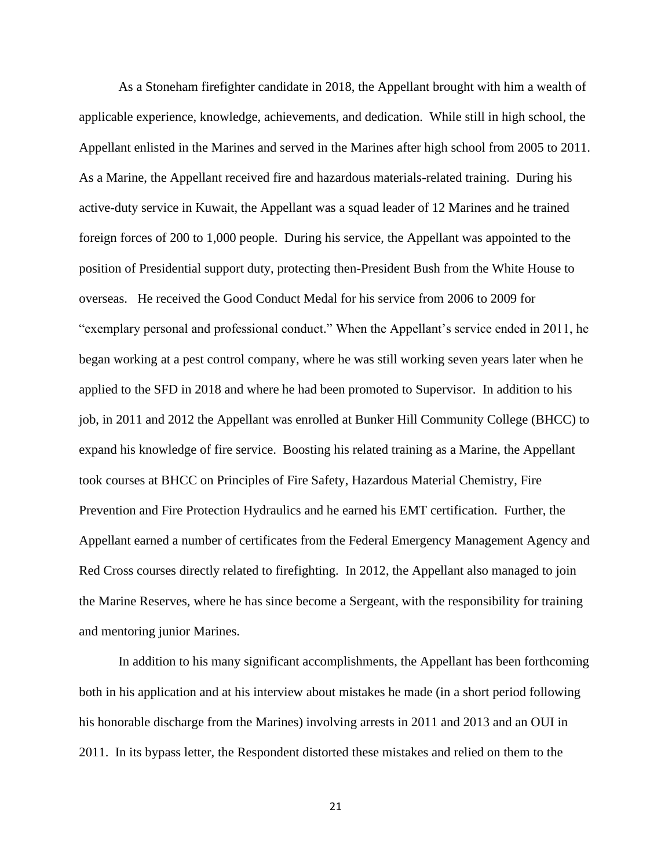As a Stoneham firefighter candidate in 2018, the Appellant brought with him a wealth of applicable experience, knowledge, achievements, and dedication. While still in high school, the Appellant enlisted in the Marines and served in the Marines after high school from 2005 to 2011. As a Marine, the Appellant received fire and hazardous materials-related training. During his active-duty service in Kuwait, the Appellant was a squad leader of 12 Marines and he trained foreign forces of 200 to 1,000 people. During his service, the Appellant was appointed to the position of Presidential support duty, protecting then-President Bush from the White House to overseas. He received the Good Conduct Medal for his service from 2006 to 2009 for "exemplary personal and professional conduct." When the Appellant's service ended in 2011, he began working at a pest control company, where he was still working seven years later when he applied to the SFD in 2018 and where he had been promoted to Supervisor. In addition to his job, in 2011 and 2012 the Appellant was enrolled at Bunker Hill Community College (BHCC) to expand his knowledge of fire service. Boosting his related training as a Marine, the Appellant took courses at BHCC on Principles of Fire Safety, Hazardous Material Chemistry, Fire Prevention and Fire Protection Hydraulics and he earned his EMT certification. Further, the Appellant earned a number of certificates from the Federal Emergency Management Agency and Red Cross courses directly related to firefighting. In 2012, the Appellant also managed to join the Marine Reserves, where he has since become a Sergeant, with the responsibility for training and mentoring junior Marines.

In addition to his many significant accomplishments, the Appellant has been forthcoming both in his application and at his interview about mistakes he made (in a short period following his honorable discharge from the Marines) involving arrests in 2011 and 2013 and an OUI in 2011. In its bypass letter, the Respondent distorted these mistakes and relied on them to the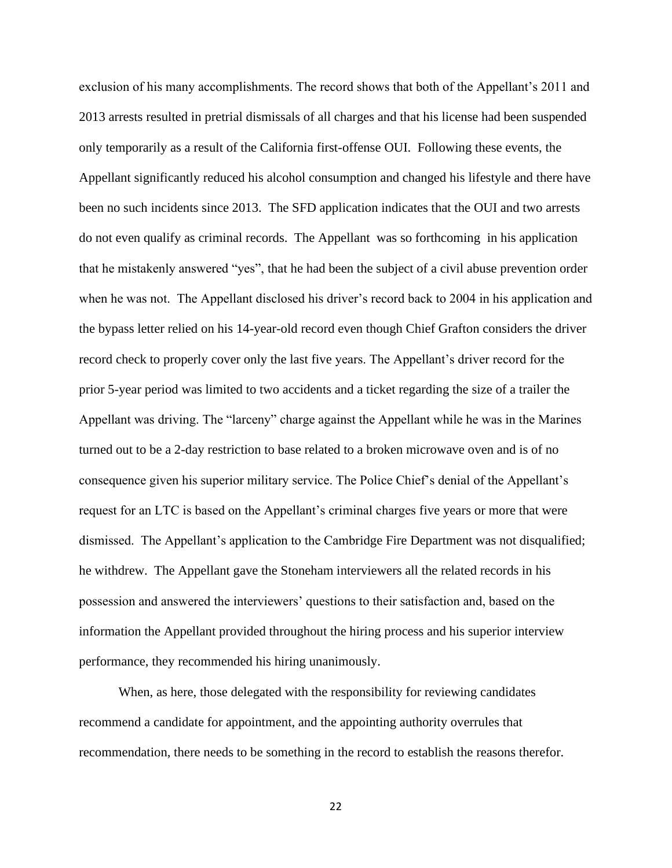exclusion of his many accomplishments. The record shows that both of the Appellant's 2011 and 2013 arrests resulted in pretrial dismissals of all charges and that his license had been suspended only temporarily as a result of the California first-offense OUI. Following these events, the Appellant significantly reduced his alcohol consumption and changed his lifestyle and there have been no such incidents since 2013. The SFD application indicates that the OUI and two arrests do not even qualify as criminal records. The Appellant was so forthcoming in his application that he mistakenly answered "yes", that he had been the subject of a civil abuse prevention order when he was not. The Appellant disclosed his driver's record back to 2004 in his application and the bypass letter relied on his 14-year-old record even though Chief Grafton considers the driver record check to properly cover only the last five years. The Appellant's driver record for the prior 5-year period was limited to two accidents and a ticket regarding the size of a trailer the Appellant was driving. The "larceny" charge against the Appellant while he was in the Marines turned out to be a 2-day restriction to base related to a broken microwave oven and is of no consequence given his superior military service. The Police Chief's denial of the Appellant's request for an LTC is based on the Appellant's criminal charges five years or more that were dismissed. The Appellant's application to the Cambridge Fire Department was not disqualified; he withdrew. The Appellant gave the Stoneham interviewers all the related records in his possession and answered the interviewers' questions to their satisfaction and, based on the information the Appellant provided throughout the hiring process and his superior interview performance, they recommended his hiring unanimously.

When, as here, those delegated with the responsibility for reviewing candidates recommend a candidate for appointment, and the appointing authority overrules that recommendation, there needs to be something in the record to establish the reasons therefor.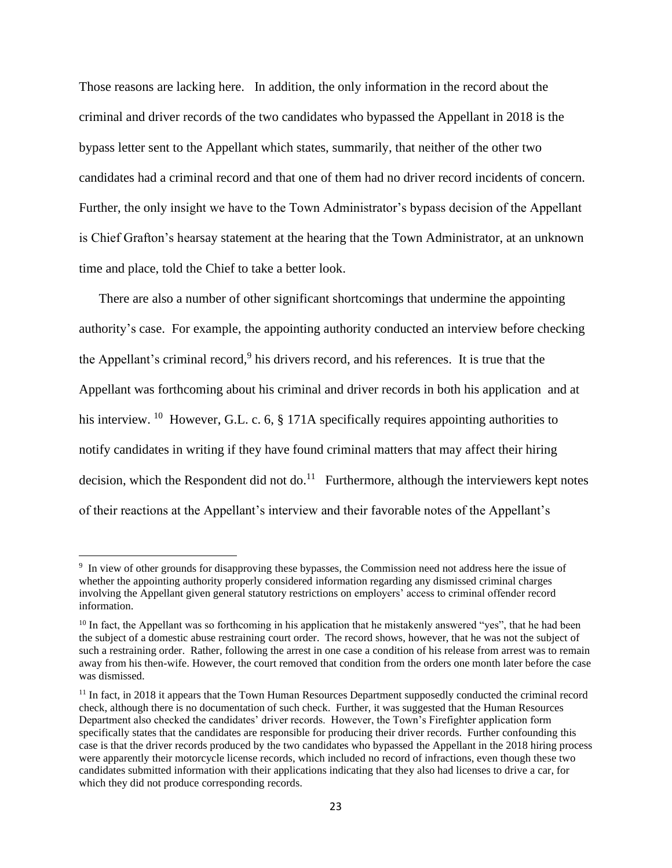Those reasons are lacking here. In addition, the only information in the record about the criminal and driver records of the two candidates who bypassed the Appellant in 2018 is the bypass letter sent to the Appellant which states, summarily, that neither of the other two candidates had a criminal record and that one of them had no driver record incidents of concern. Further, the only insight we have to the Town Administrator's bypass decision of the Appellant is Chief Grafton's hearsay statement at the hearing that the Town Administrator, at an unknown time and place, told the Chief to take a better look.

There are also a number of other significant shortcomings that undermine the appointing authority's case. For example, the appointing authority conducted an interview before checking the Appellant's criminal record,<sup>9</sup> his drivers record, and his references. It is true that the Appellant was forthcoming about his criminal and driver records in both his application and at his interview. <sup>10</sup> However, G.L. c. 6, § 171A specifically requires appointing authorities to notify candidates in writing if they have found criminal matters that may affect their hiring decision, which the Respondent did not do.<sup>11</sup> Furthermore, although the interviewers kept notes of their reactions at the Appellant's interview and their favorable notes of the Appellant's

<sup>&</sup>lt;sup>9</sup> In view of other grounds for disapproving these bypasses, the Commission need not address here the issue of whether the appointing authority properly considered information regarding any dismissed criminal charges involving the Appellant given general statutory restrictions on employers' access to criminal offender record information.

 $10$  In fact, the Appellant was so forthcoming in his application that he mistakenly answered "yes", that he had been the subject of a domestic abuse restraining court order. The record shows, however, that he was not the subject of such a restraining order. Rather, following the arrest in one case a condition of his release from arrest was to remain away from his then-wife. However, the court removed that condition from the orders one month later before the case was dismissed.

 $11$  In fact, in 2018 it appears that the Town Human Resources Department supposedly conducted the criminal record check, although there is no documentation of such check. Further, it was suggested that the Human Resources Department also checked the candidates' driver records. However, the Town's Firefighter application form specifically states that the candidates are responsible for producing their driver records. Further confounding this case is that the driver records produced by the two candidates who bypassed the Appellant in the 2018 hiring process were apparently their motorcycle license records, which included no record of infractions, even though these two candidates submitted information with their applications indicating that they also had licenses to drive a car, for which they did not produce corresponding records.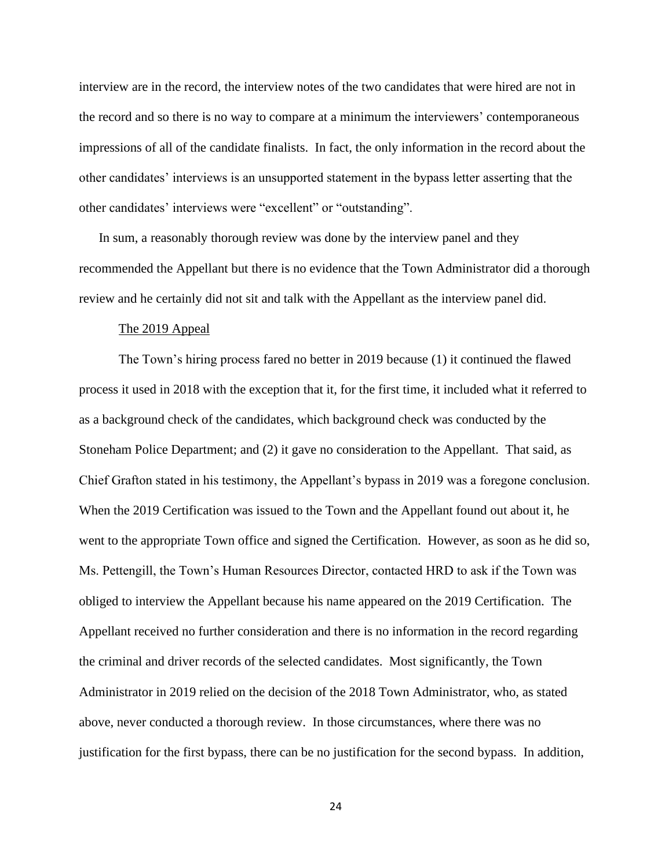interview are in the record, the interview notes of the two candidates that were hired are not in the record and so there is no way to compare at a minimum the interviewers' contemporaneous impressions of all of the candidate finalists. In fact, the only information in the record about the other candidates' interviews is an unsupported statement in the bypass letter asserting that the other candidates' interviews were "excellent" or "outstanding".

In sum, a reasonably thorough review was done by the interview panel and they recommended the Appellant but there is no evidence that the Town Administrator did a thorough review and he certainly did not sit and talk with the Appellant as the interview panel did.

#### The 2019 Appeal

The Town's hiring process fared no better in 2019 because (1) it continued the flawed process it used in 2018 with the exception that it, for the first time, it included what it referred to as a background check of the candidates, which background check was conducted by the Stoneham Police Department; and (2) it gave no consideration to the Appellant. That said, as Chief Grafton stated in his testimony, the Appellant's bypass in 2019 was a foregone conclusion. When the 2019 Certification was issued to the Town and the Appellant found out about it, he went to the appropriate Town office and signed the Certification. However, as soon as he did so, Ms. Pettengill, the Town's Human Resources Director, contacted HRD to ask if the Town was obliged to interview the Appellant because his name appeared on the 2019 Certification. The Appellant received no further consideration and there is no information in the record regarding the criminal and driver records of the selected candidates. Most significantly, the Town Administrator in 2019 relied on the decision of the 2018 Town Administrator, who, as stated above, never conducted a thorough review. In those circumstances, where there was no justification for the first bypass, there can be no justification for the second bypass. In addition,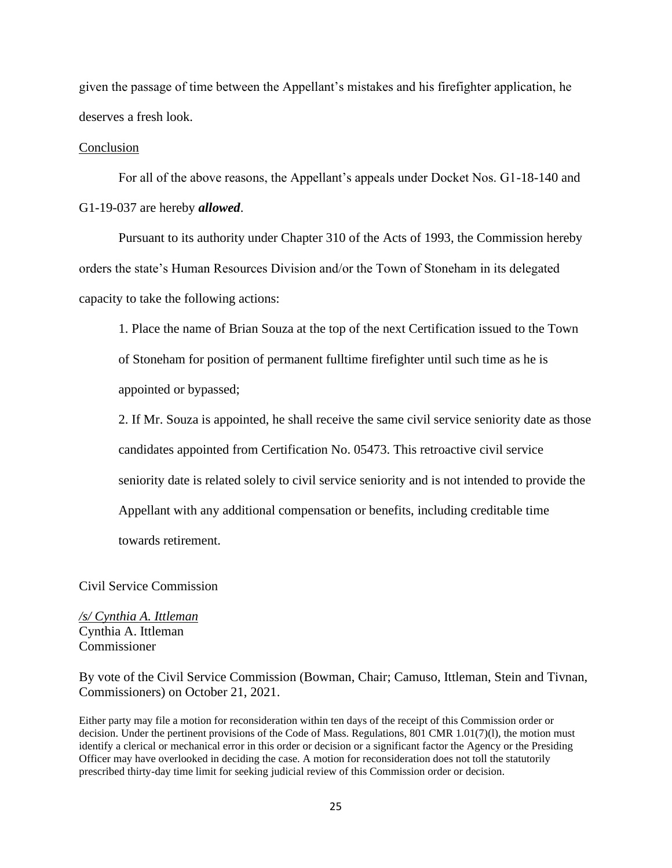given the passage of time between the Appellant's mistakes and his firefighter application, he deserves a fresh look.

#### Conclusion

For all of the above reasons, the Appellant's appeals under Docket Nos. G1-18-140 and G1-19-037 are hereby *allowed*.

Pursuant to its authority under Chapter 310 of the Acts of 1993, the Commission hereby orders the state's Human Resources Division and/or the Town of Stoneham in its delegated capacity to take the following actions:

1. Place the name of Brian Souza at the top of the next Certification issued to the Town of Stoneham for position of permanent fulltime firefighter until such time as he is appointed or bypassed;

2. If Mr. Souza is appointed, he shall receive the same civil service seniority date as those candidates appointed from Certification No. 05473. This retroactive civil service seniority date is related solely to civil service seniority and is not intended to provide the Appellant with any additional compensation or benefits, including creditable time towards retirement.

Civil Service Commission

*/s/ Cynthia A. Ittleman* Cynthia A. Ittleman Commissioner

By vote of the Civil Service Commission (Bowman, Chair; Camuso, Ittleman, Stein and Tivnan, Commissioners) on October 21, 2021.

Either party may file a motion for reconsideration within ten days of the receipt of this Commission order or decision. Under the pertinent provisions of the Code of Mass. Regulations, 801 CMR 1.01(7)(l), the motion must identify a clerical or mechanical error in this order or decision or a significant factor the Agency or the Presiding Officer may have overlooked in deciding the case. A motion for reconsideration does not toll the statutorily prescribed thirty-day time limit for seeking judicial review of this Commission order or decision.